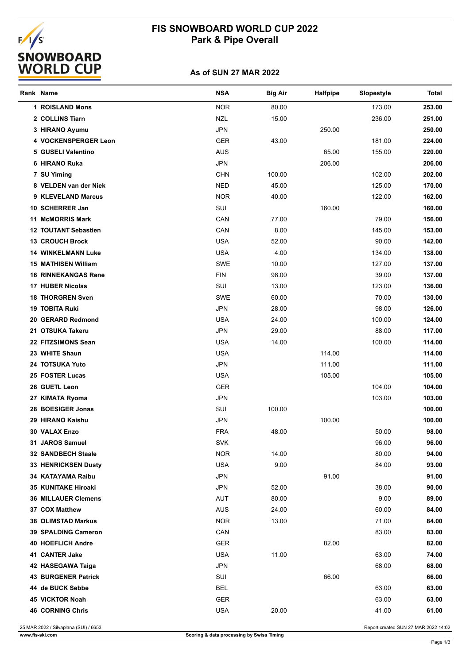# EALASTICS<br>
SNOWBOARD<br>
WORLD CUP

# **FIS SNOWBOARD WORLD CUP 2022 Park & Pipe Overall**

## **As of SUN 27 MAR 2022**

| Rank Name |                             | <b>NSA</b> | <b>Big Air</b> | Halfpipe | Slopestyle | <b>Total</b> |
|-----------|-----------------------------|------------|----------------|----------|------------|--------------|
|           | <b>1 ROISLAND Mons</b>      | <b>NOR</b> | 80.00          |          | 173.00     | 253.00       |
|           | 2 COLLINS Tiarn             | <b>NZL</b> | 15.00          |          | 236.00     | 251.00       |
|           | 3 HIRANO Ayumu              | <b>JPN</b> |                | 250.00   |            | 250.00       |
|           | 4 VOCKENSPERGER Leon        | <b>GER</b> | 43.00          |          | 181.00     | 224.00       |
|           | 5 GUSELI Valentino          | <b>AUS</b> |                | 65.00    | 155.00     | 220.00       |
|           | 6 HIRANO Ruka               | <b>JPN</b> |                | 206.00   |            | 206.00       |
|           | 7 SU Yiming                 | <b>CHN</b> | 100.00         |          | 102.00     | 202.00       |
|           | 8 VELDEN van der Niek       | <b>NED</b> | 45.00          |          | 125.00     | 170.00       |
|           | 9 KLEVELAND Marcus          | <b>NOR</b> | 40.00          |          | 122.00     | 162.00       |
|           | 10 SCHERRER Jan             | SUI        |                | 160.00   |            | 160.00       |
|           | <b>11 McMORRIS Mark</b>     | CAN        | 77.00          |          | 79.00      | 156.00       |
|           | <b>12 TOUTANT Sebastien</b> | CAN        | 8.00           |          | 145.00     | 153.00       |
|           | <b>13 CROUCH Brock</b>      | <b>USA</b> | 52.00          |          | 90.00      | 142.00       |
|           | <b>14 WINKELMANN Luke</b>   | <b>USA</b> | 4.00           |          | 134.00     | 138.00       |
|           | <b>15 MATHISEN William</b>  | SWE        | 10.00          |          | 127.00     | 137.00       |
|           | <b>16 RINNEKANGAS Rene</b>  | <b>FIN</b> | 98.00          |          | 39.00      | 137.00       |
|           | <b>17 HUBER Nicolas</b>     | SUI        | 13.00          |          | 123.00     | 136.00       |
|           | <b>18 THORGREN Sven</b>     | SWE        | 60.00          |          | 70.00      | 130.00       |
|           | <b>19 TOBITA Ruki</b>       | <b>JPN</b> | 28.00          |          | 98.00      | 126.00       |
|           | 20 GERARD Redmond           | <b>USA</b> | 24.00          |          | 100.00     | 124.00       |
|           | 21 OTSUKA Takeru            | <b>JPN</b> | 29.00          |          | 88.00      | 117.00       |
|           | 22 FITZSIMONS Sean          | <b>USA</b> | 14.00          |          | 100.00     | 114.00       |
|           | 23 WHITE Shaun              | <b>USA</b> |                | 114.00   |            | 114.00       |
|           | 24 TOTSUKA Yuto             | <b>JPN</b> |                | 111.00   |            | 111.00       |
|           | 25 FOSTER Lucas             | <b>USA</b> |                | 105.00   |            | 105.00       |
|           | 26 GUETL Leon               | <b>GER</b> |                |          | 104.00     | 104.00       |
|           | 27 KIMATA Ryoma             | <b>JPN</b> |                |          | 103.00     | 103.00       |
|           | 28 BOESIGER Jonas           | SUI        | 100.00         |          |            | 100.00       |
|           | 29 HIRANO Kaishu            | <b>JPN</b> |                | 100.00   |            | 100.00       |
|           | <b>30 VALAX Enzo</b>        | <b>FRA</b> | 48.00          |          | 50.00      | 98.00        |
|           | 31 JAROS Samuel             | SVK        |                |          | 96.00      | 96.00        |
|           | 32 SANDBECH Staale          | <b>NOR</b> | 14.00          |          | 80.00      | 94.00        |
|           | <b>33 HENRICKSEN Dusty</b>  | <b>USA</b> | 9.00           |          | 84.00      | 93.00        |
|           | 34 KATAYAMA Raibu           | <b>JPN</b> |                | 91.00    |            | 91.00        |
|           | 35 KUNITAKE Hiroaki         | <b>JPN</b> | 52.00          |          | 38.00      | 90.00        |
|           | <b>36 MILLAUER Clemens</b>  | AUT        | 80.00          |          | 9.00       | 89.00        |
|           | 37 COX Matthew              | <b>AUS</b> | 24.00          |          | 60.00      | 84.00        |
|           | <b>38 OLIMSTAD Markus</b>   | <b>NOR</b> | 13.00          |          | 71.00      | 84.00        |
|           | <b>39 SPALDING Cameron</b>  | CAN        |                |          | 83.00      | 83.00        |
|           | <b>40 HOEFLICH Andre</b>    | <b>GER</b> |                | 82.00    |            | 82.00        |
|           | 41 CANTER Jake              | USA        | 11.00          |          | 63.00      | 74.00        |
|           | 42 HASEGAWA Taiga           | <b>JPN</b> |                |          | 68.00      | 68.00        |
|           | 43 BURGENER Patrick         | SUI        |                | 66.00    |            | 66.00        |
|           | 44 de BUCK Sebbe            | <b>BEL</b> |                |          | 63.00      | 63.00        |
|           | <b>45 VICKTOR Noah</b>      | <b>GER</b> |                |          | 63.00      | 63.00        |
|           | <b>46 CORNING Chris</b>     | <b>USA</b> | 20.00          |          | 41.00      | 61.00        |
|           |                             |            |                |          |            |              |

25 MAR 2022 / Silvaplana (SUI) / 6653 Report created SUN 27 MAR 2022 14:02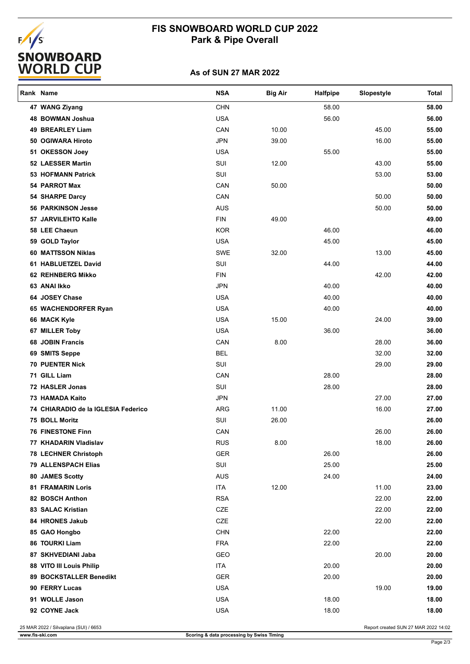# **FIS SNOWBOARD WORLD CUP 2022 Park & Pipe Overall**



### **As of SUN 27 MAR 2022**

| Rank Name                           | <b>NSA</b> | <b>Big Air</b> | <b>Halfpipe</b> | Slopestyle | Total |
|-------------------------------------|------------|----------------|-----------------|------------|-------|
| 47 WANG Ziyang                      | <b>CHN</b> |                | 58.00           |            | 58.00 |
| 48 BOWMAN Joshua                    | <b>USA</b> |                | 56.00           |            | 56.00 |
| 49 BREARLEY Liam                    | CAN        | 10.00          |                 | 45.00      | 55.00 |
| 50 OGIWARA Hiroto                   | <b>JPN</b> | 39.00          |                 | 16.00      | 55.00 |
| 51 OKESSON Joey                     | <b>USA</b> |                | 55.00           |            | 55.00 |
| 52 LAESSER Martin                   | SUI        | 12.00          |                 | 43.00      | 55.00 |
| <b>53 HOFMANN Patrick</b>           | SUI        |                |                 | 53.00      | 53.00 |
| 54 PARROT Max                       | CAN        | 50.00          |                 |            | 50.00 |
| 54 SHARPE Darcy                     | CAN        |                |                 | 50.00      | 50.00 |
| <b>56 PARKINSON Jesse</b>           | <b>AUS</b> |                |                 | 50.00      | 50.00 |
| 57 JARVILEHTO Kalle                 | <b>FIN</b> | 49.00          |                 |            | 49.00 |
| 58 LEE Chaeun                       | <b>KOR</b> |                | 46.00           |            | 46.00 |
| 59 GOLD Taylor                      | <b>USA</b> |                | 45.00           |            | 45.00 |
| 60 MATTSSON Niklas                  | SWE        | 32.00          |                 | 13.00      | 45.00 |
| 61 HABLUETZEL David                 | SUI        |                | 44.00           |            | 44.00 |
| <b>62 REHNBERG Mikko</b>            | <b>FIN</b> |                |                 | 42.00      | 42.00 |
| 63 ANAI Ikko                        | <b>JPN</b> |                | 40.00           |            | 40.00 |
| 64 JOSEY Chase                      | <b>USA</b> |                | 40.00           |            | 40.00 |
| 65 WACHENDORFER Ryan                | <b>USA</b> |                | 40.00           |            | 40.00 |
| 66 MACK Kyle                        | <b>USA</b> | 15.00          |                 | 24.00      | 39.00 |
| 67 MILLER Toby                      | <b>USA</b> |                | 36.00           |            | 36.00 |
| <b>68 JOBIN Francis</b>             | CAN        | 8.00           |                 | 28.00      | 36.00 |
| 69 SMITS Seppe                      | <b>BEL</b> |                |                 | 32.00      | 32.00 |
| <b>70 PUENTER Nick</b>              | SUI        |                |                 | 29.00      | 29.00 |
| 71 GILL Liam                        | CAN        |                | 28.00           |            | 28.00 |
| 72 HASLER Jonas                     | SUI        |                | 28.00           |            | 28.00 |
| <b>73 HAMADA Kaito</b>              | <b>JPN</b> |                |                 | 27.00      | 27.00 |
| 74 CHIARADIO de la IGLESIA Federico | ARG        | 11.00          |                 | 16.00      | 27.00 |
| 75 BOLL Moritz                      | SUI        | 26.00          |                 |            | 26.00 |
| <b>76 FINESTONE Finn</b>            | CAN        |                |                 | 26.00      | 26.00 |
| 77 KHADARIN Vladislav               | <b>RUS</b> | 8.00           |                 | 18.00      | 26.00 |
| <b>78 LECHNER Christoph</b>         | GER        |                | 26.00           |            | 26.00 |
| <b>79 ALLENSPACH Elias</b>          | SUI        |                | 25.00           |            | 25.00 |
| 80 JAMES Scotty                     | <b>AUS</b> |                | 24.00           |            | 24.00 |
| <b>81 FRAMARIN Loris</b>            | <b>ITA</b> | 12.00          |                 | 11.00      | 23.00 |
| 82 BOSCH Anthon                     | <b>RSA</b> |                |                 | 22.00      | 22.00 |
| 83 SALAC Kristian                   | CZE        |                |                 | 22.00      | 22.00 |
| 84 HRONES Jakub                     | CZE        |                |                 | 22.00      | 22.00 |
| 85 GAO Hongbo                       | <b>CHN</b> |                | 22.00           |            | 22.00 |
| 86 TOURKI Liam                      | <b>FRA</b> |                | 22.00           |            | 22.00 |
| 87 SKHVEDIANI Jaba                  | GEO        |                |                 | 20.00      | 20.00 |
| 88 VITO III Louis Philip            | ITA        |                | 20.00           |            | 20.00 |
| 89 BOCKSTALLER Benedikt             | <b>GER</b> |                | 20.00           |            | 20.00 |
| 90 FERRY Lucas                      | <b>USA</b> |                |                 | 19.00      | 19.00 |
| 91 WOLLE Jason                      | <b>USA</b> |                | 18.00           |            | 18.00 |
| 92 COYNE Jack                       | <b>USA</b> |                | 18.00           |            | 18.00 |
|                                     |            |                |                 |            |       |

25 MAR 2022 / Silvaplana (SUI) / 6653 Report created SUN 27 MAR 2022 14:02